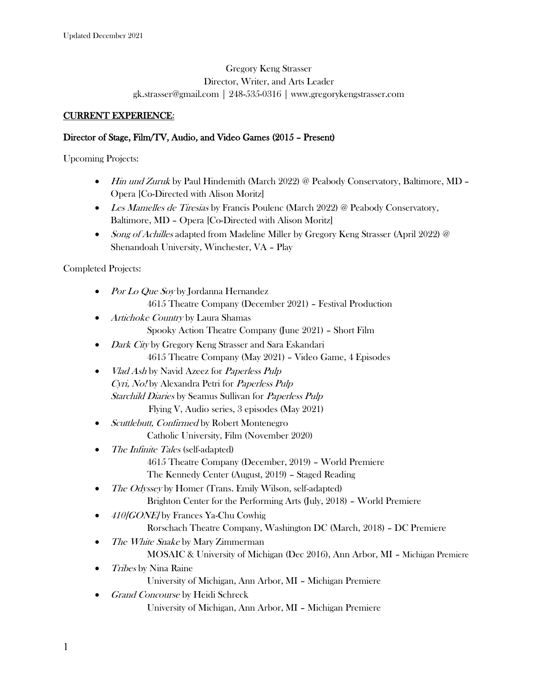### Gregory Keng Strasser Director, Writer, and Arts Leader gk.strasser@gmail.com | 248-535-0316 | www.gregorykengstrasser.com

#### CURRENT EXPERIENCE:

#### Director of Stage, Film/TV, Audio, and Video Games (2015 – Present)

Upcoming Projects:

- Hin und Zuruk by Paul Hindemith (March 2022) @ Peabody Conservatory, Baltimore, MD -Opera [Co-Directed with Alison Moritz]
- Les Mamelles de Tiresias by Francis Poulenc (March 2022) @ Peabody Conservatory, Baltimore, MD – Opera [Co-Directed with Alison Moritz]
- Song of Achilles adapted from Madeline Miller by Gregory Keng Strasser (April 2022) @ Shenandoah University, Winchester, VA – Play

#### Completed Projects:

- Por Lo Que Soy by Jordanna Hernandez 4615 Theatre Company (December 2021) – Festival Production
- Artichoke Country by Laura Shamas Spooky Action Theatre Company (June 2021) – Short Film
- Dark City by Gregory Keng Strasser and Sara Eskandari 4615 Theatre Company (May 2021) – Video Game, 4 Episodes
- *Vlad Ash by Navid Azeez for Paperless Pulp* Cyri, No! by Alexandra Petri for Paperless Pulp Starchild Diaries by Seamus Sullivan for Paperless Pulp Flying V, Audio series, 3 episodes (May 2021)
- *Scuttlebutt, Confirmed* by Robert Montenegro Catholic University, Film (November 2020)
- The Infinite Tales (self-adapted) 4615 Theatre Company (December, 2019) – World Premiere The Kennedy Center (August, 2019) – Staged Reading
- The Odyssey by Homer (Trans. Emily Wilson, self-adapted) Brighton Center for the Performing Arts (July, 2018) – World Premiere
- 410 GONE by Frances Ya-Chu Cowhig Rorschach Theatre Company, Washington DC (March, 2018) – DC Premiere
- The White Snake by Mary Zimmerman
	- MOSAIC & University of Michigan (Dec 2016), Ann Arbor, MI Michigan Premiere
- Tribes by Nina Raine University of Michigan, Ann Arbor, MI – Michigan Premiere
- Grand Concourse by Heidi Schreck University of Michigan, Ann Arbor, MI – Michigan Premiere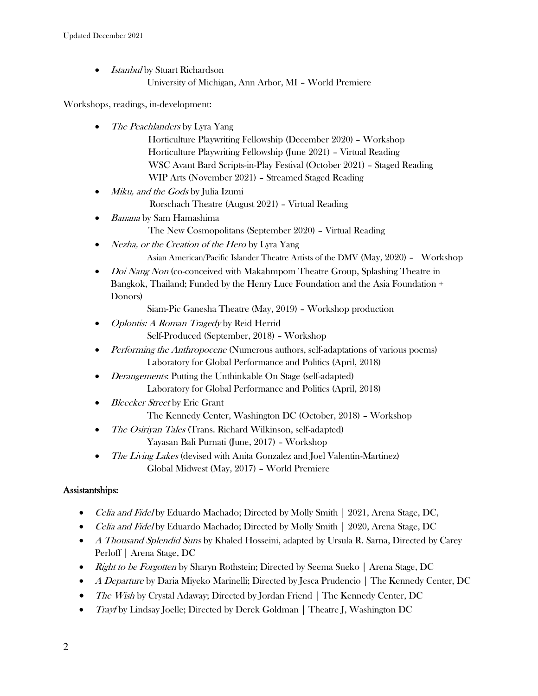- Istanbul by Stuart Richardson
	- University of Michigan, Ann Arbor, MI World Premiere

Workshops, readings, in-development:

- The Peachlanders by Lyra Yang Horticulture Playwriting Fellowship (December 2020) – Workshop Horticulture Playwriting Fellowship (June 2021) – Virtual Reading WSC Avant Bard Scripts-in-Play Festival (October 2021) – Staged Reading WIP Arts (November 2021) – Streamed Staged Reading
- *Miku, and the Gods* by Julia Izumi
	- Rorschach Theatre (August 2021) Virtual Reading
- *Banana* by Sam Hamashima
	- The New Cosmopolitans (September 2020) Virtual Reading
- Nezha, or the Creation of the Hero by Lyra Yang Asian American/Pacific Islander Theatre Artists of the DMV (May, 2020) – Workshop
- *Doi Nang Non* (co-conceived with Makahmpom Theatre Group, Splashing Theatre in Bangkok, Thailand; Funded by the Henry Luce Foundation and the Asia Foundation + Donors)

Siam-Pic Ganesha Theatre (May, 2019) – Workshop production

- Oplontis: A Roman Tragedy by Reid Herrid Self-Produced (September, 2018) – Workshop
- Performing the Anthropocene (Numerous authors, self-adaptations of various poems) Laboratory for Global Performance and Politics (April, 2018)
- *Derangements*: Putting the Unthinkable On Stage (self-adapted) Laboratory for Global Performance and Politics (April, 2018)
- Bleecker Street by Eric Grant The Kennedy Center, Washington DC (October, 2018) – Workshop
- The Osiriyan Tales (Trans. Richard Wilkinson, self-adapted) Yayasan Bali Purnati (June, 2017) – Workshop
- The Living Lakes (devised with Anita Gonzalez and Joel Valentin-Martinez) Global Midwest (May, 2017) – World Premiere

### Assistantships:

- Celia and Fidel by Eduardo Machado; Directed by Molly Smith | 2021, Arena Stage, DC,
- *Celia and Fidel* by Eduardo Machado; Directed by Molly Smith | 2020, Arena Stage, DC
- A Thousand Splendid Suns by Khaled Hosseini, adapted by Ursula R. Sarna, Directed by Carey Perloff | Arena Stage, DC
- Right to be Forgotten by Sharyn Rothstein; Directed by Seema Sueko | Arena Stage, DC
- A Departure by Daria Miyeko Marinelli; Directed by Jesca Prudencio | The Kennedy Center, DC
- The Wish by Crystal Adaway; Directed by Jordan Friend | The Kennedy Center, DC
- *Trayf* by Lindsay Joelle; Directed by Derek Goldman | Theatre J, Washington DC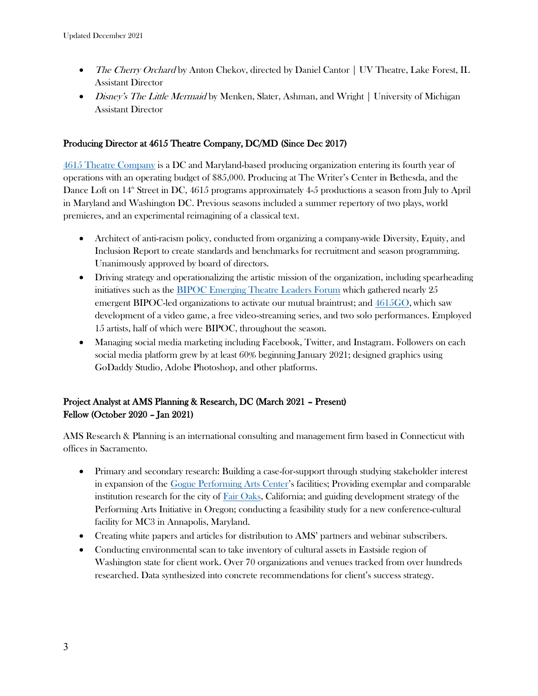- The Cherry Orchard by Anton Chekov, directed by Daniel Cantor | UV Theatre, Lake Forest, IL Assistant Director
- Disney's The Little Mermaid by Menken, Slater, Ashman, and Wright | University of Michigan Assistant Director

#### Producing Director at 4615 Theatre Company, DC/MD (Since Dec 2017)

[4615 Theatre Company](https://www.4615theatre.com/) is a DC and Maryland-based producing organization entering its fourth year of operations with an operating budget of \$85,000. Producing at The Writer's Center in Bethesda, and the Dance Loft on  $14^{\text{th}}$  Street in DC, 4615 programs approximately 4-5 productions a season from July to April in Maryland and Washington DC. Previous seasons included a summer repertory of two plays, world premieres, and an experimental reimagining of a classical text.

- Architect of anti-racism policy, conducted from organizing a company-wide Diversity, Equity, and Inclusion Report to create standards and benchmarks for recruitment and season programming. Unanimously approved by board of directors.
- Driving strategy and operationalizing the artistic mission of the organization, including spearheading initiatives such as the [BIPOC Emerging Theatre Leaders Forum](https://www.gregorykengstrasser.com/leadership) which gathered nearly 25 emergent BIPOC-led organizations to activate our mutual braintrust; and  $4615<sub>5</sub>$ , which saw development of a video game, a free video-streaming series, and two solo performances. Employed 15 artists, half of which were BIPOC, throughout the season.
- Managing social media marketing including Facebook, Twitter, and Instagram. Followers on each social media platform grew by at least 60% beginning January 2021; designed graphics using GoDaddy Studio, Adobe Photoshop, and other platforms.

# Project Analyst at AMS Planning & Research, DC (March 2021 – Present) Fellow (October 2020 – Jan 2021)

AMS Research & Planning is an international consulting and management firm based in Connecticut with offices in Sacramento.

- Primary and secondary research: Building a case-for-support through studying stakeholder interest in expansion of the [Gogue Performing Arts Center](https://goguecenter.auburn.edu/)'s facilities; Providing exemplar and comparable institution research for the city of  $Fair Oaks$ , California; and guiding development strategy of the</u> Performing Arts Initiative in Oregon; conducting a feasibility study for a new conference-cultural facility for MC3 in Annapolis, Maryland.
- Creating white papers and articles for distribution to AMS' partners and webinar subscribers.
- Conducting environmental scan to take inventory of cultural assets in Eastside region of Washington state for client work. Over 70 organizations and venues tracked from over hundreds researched. Data synthesized into concrete recommendations for client's success strategy.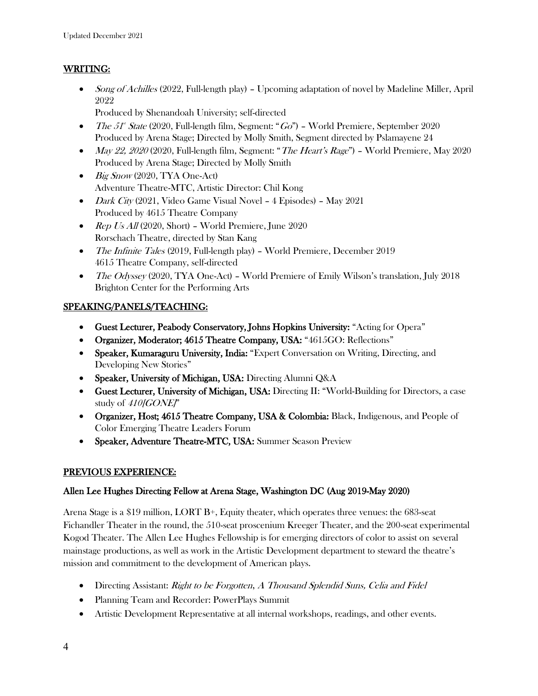### WRITING:

• Song of Achilles (2022, Full-length play) – Upcoming adaptation of novel by Madeline Miller, April 2022

Produced by Shenandoah University; self-directed

- The 51<sup>\*</sup> State (2020, Full-length film, Segment: "Go") World Premiere, September 2020 Produced by Arena Stage; Directed by Molly Smith, Segment directed by Pslamayene 24
- May 22, 2020 (2020, Full-length film, Segment: "The Heart's Rage") World Premiere, May 2020 Produced by Arena Stage; Directed by Molly Smith
- Big Snow (2020, TYA One-Act) Adventure Theatre-MTC, Artistic Director: Chil Kong
- Dark City (2021, Video Game Visual Novel 4 Episodes) May 2021 Produced by 4615 Theatre Company
- Rep Us All  $(2020, Short)$  World Premiere, June 2020 Rorschach Theatre, directed by Stan Kang
- The Infinite Tales (2019, Full-length play) World Premiere, December 2019 4615 Theatre Company, self-directed
- The Odyssey (2020, TYA One-Act) World Premiere of Emily Wilson's translation, July 2018 Brighton Center for the Performing Arts

# SPEAKING/PANELS/TEACHING:

- Guest Lecturer, Peabody Conservatory, Johns Hopkins University: "Acting for Opera"
- Organizer, Moderator; 4615 Theatre Company, USA: "4615GO: Reflections"
- Speaker, Kumaraguru University, India: "Expert Conversation on Writing, Directing, and Developing New Stories"
- Speaker, University of Michigan, USA: Directing Alumni Q&A
- Guest Lecturer, University of Michigan, USA: Directing II: "World-Building for Directors, a case study of 410 [GONE]"
- Organizer, Host; 4615 Theatre Company, USA & Colombia: Black, Indigenous, and People of Color Emerging Theatre Leaders Forum
- Speaker, Adventure Theatre-MTC, USA: Summer Season Preview

# PREVIOUS EXPERIENCE:

### Allen Lee Hughes Directing Fellow at Arena Stage, Washington DC (Aug 2019-May 2020)

Arena Stage is a \$19 million, LORT B+, Equity theater, which operates three venues: the 683-seat Fichandler Theater in the round, the 510-seat proscenium Kreeger Theater, and the 200-seat experimental Kogod Theater. The Allen Lee Hughes Fellowship is for emerging directors of color to assist on several mainstage productions, as well as work in the Artistic Development department to steward the theatre's mission and commitment to the development of American plays.

- Directing Assistant: Right to be Forgotten, A Thousand Splendid Suns, Celia and Fidel
- Planning Team and Recorder: PowerPlays Summit
- Artistic Development Representative at all internal workshops, readings, and other events.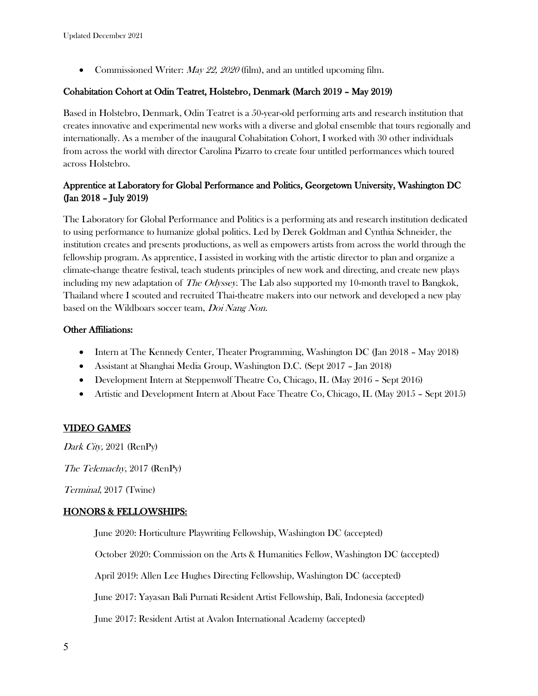• Commissioned Writer:  $Mav 22$ , 2020 (film), and an untitled upcoming film.

### Cohabitation Cohort at Odin Teatret, Holstebro, Denmark (March 2019 – May 2019)

Based in Holstebro, Denmark, Odin Teatret is a 50-year-old performing arts and research institution that creates innovative and experimental new works with a diverse and global ensemble that tours regionally and internationally. As a member of the inaugural Cohabitation Cohort, I worked with 30 other individuals from across the world with director Carolina Pizarro to create four untitled performances which toured across Holstebro.

### Apprentice at Laboratory for Global Performance and Politics, Georgetown University, Washington DC (Jan 2018 – July 2019)

The Laboratory for Global Performance and Politics is a performing ats and research institution dedicated to using performance to humanize global politics. Led by Derek Goldman and Cynthia Schneider, the institution creates and presents productions, as well as empowers artists from across the world through the fellowship program. As apprentice, I assisted in working with the artistic director to plan and organize a climate-change theatre festival, teach students principles of new work and directing, and create new plays including my new adaptation of *The Odyssey*. The Lab also supported my 10-month travel to Bangkok, Thailand where I scouted and recruited Thai-theatre makers into our network and developed a new play based on the Wildboars soccer team, *Doi Nang Non*.

### Other Affiliations:

- Intern at The Kennedy Center, Theater Programming, Washington DC (Jan 2018 May 2018)
- Assistant at Shanghai Media Group, Washington D.C. (Sept 2017 Jan 2018)
- Development Intern at Steppenwolf Theatre Co, Chicago, IL (May 2016 Sept 2016)
- Artistic and Development Intern at About Face Theatre Co, Chicago, IL (May 2015 Sept 2015)

### VIDEO GAMES

Dark City, 2021 (RenPy)

The Telemachy, 2017 (RenPy)

Terminal, 2017 (Twine)

#### HONORS & FELLOWSHIPS:

June 2020: Horticulture Playwriting Fellowship, Washington DC (accepted)

October 2020: Commission on the Arts & Humanities Fellow, Washington DC (accepted)

April 2019: Allen Lee Hughes Directing Fellowship, Washington DC (accepted)

June 2017: Yayasan Bali Purnati Resident Artist Fellowship, Bali, Indonesia (accepted)

June 2017: Resident Artist at Avalon International Academy (accepted)